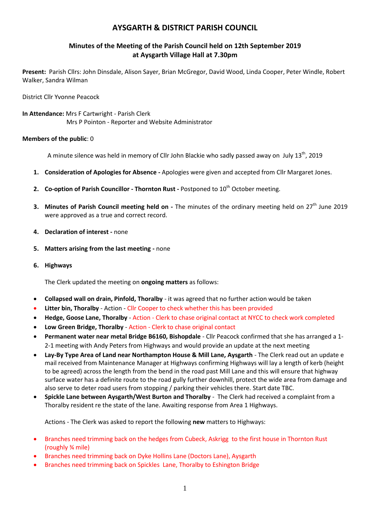# **AYSGARTH & DISTRICT PARISH COUNCIL**

## **Minutes of the Meeting of the Parish Council held on 12th September 2019 at Aysgarth Village Hall at 7.30pm**

**Present:** Parish Cllrs: John Dinsdale, Alison Sayer, Brian McGregor, David Wood, Linda Cooper, Peter Windle, Robert Walker, Sandra Wilman

District Cllr Yvonne Peacock

**In Attendance:** Mrs F Cartwright - Parish Clerk Mrs P Pointon - Reporter and Website Administrator

## **Members of the public**: 0

A minute silence was held in memory of Cllr John Blackie who sadly passed away on July  $13<sup>th</sup>$ , 2019

- **1. Consideration of Apologies for Absence -** Apologies were given and accepted from Cllr Margaret Jones.
- **2. Co-option of Parish Councillor Thornton Rust -** Postponed to 10<sup>th</sup> October meeting.
- **3. Minutes of Parish Council meeting held on -** The minutes of the ordinary meeting held on 27<sup>th</sup> June 2019 were approved as a true and correct record.
- **4. Declaration of interest -** none
- **5. Matters arising from the last meeting -** none
- **6. Highways**

The Clerk updated the meeting on **ongoing matters** as follows:

- **Collapsed wall on drain, Pinfold, Thoralby** it was agreed that no further action would be taken
- **Litter bin, Thoralby** Action Cllr Cooper to check whether this has been provided
- **Hedge, Goose Lane, Thoralby** Action Clerk to chase original contact at NYCC to check work completed
- **Low Green Bridge, Thoralby** Action Clerk to chase original contact
- **Permanent water near metal Bridge B6160, Bishopdale** Cllr Peacock confirmed that she has arranged a 1- 2-1 meeting with Andy Peters from Highways and would provide an update at the next meeting
- **Lay-By Type Area of Land near Northampton House & Mill Lane, Aysgarth** The Clerk read out an update e mail received from Maintenance Manager at Highways confirming Highways will lay a length of kerb (height to be agreed) across the length from the bend in the road past Mill Lane and this will ensure that highway surface water has a definite route to the road gully further downhill, protect the wide area from damage and also serve to deter road users from stopping / parking their vehicles there. Start date TBC.
- **Spickle Lane between Aysgarth/West Burton and Thoralby** The Clerk had received a complaint from a Thoralby resident re the state of the lane. Awaiting response from Area 1 Highways.

Actions - The Clerk was asked to report the following **new** matters to Highways:

- Branches need trimming back on the hedges from Cubeck, Askrigg to the first house in Thornton Rust (roughly ¾ mile)
- Branches need trimming back on Dyke Hollins Lane (Doctors Lane), Aysgarth
- Branches need trimming back on Spickles Lane, Thoralby to Eshington Bridge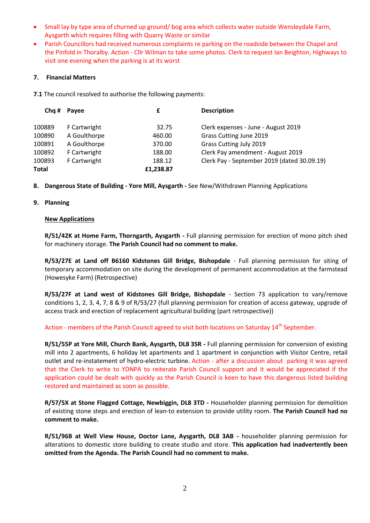- Small lay by type area of churned up ground/ bog area which collects water outside Wensleydale Farm, Aysgarth which requires filling with Quarry Waste or similar
- Parish Councillors had received numerous complaints re parking on the roadside between the Chapel and the Pinfold in Thoralby. Action - Cllr Wilman to take some photos. Clerk to request Ian Beighton, Highways to visit one evening when the parking is at its worst

## **7. Financial Matters**

**7.1** The council resolved to authorise the following payments:

| Payee        | £         | <b>Description</b>                          |
|--------------|-----------|---------------------------------------------|
| F Cartwright | 32.75     | Clerk expenses - June - August 2019         |
| A Goulthorpe | 460.00    | Grass Cutting June 2019                     |
| A Goulthorpe | 370.00    | Grass Cutting July 2019                     |
| F Cartwright | 188.00    | Clerk Pay amendment - August 2019           |
| F Cartwright | 188.12    | Clerk Pay - September 2019 (dated 30.09.19) |
|              | £1,238.87 |                                             |
|              |           |                                             |

**8. Dangerous State of Building - Yore Mill, Aysgarth -** See New/Withdrawn Planning Applications

## **9. Planning**

## **New Applications**

**R/51/42K at Home Farm, Thorngarth, Aysgarth -** Full planning permission for erection of mono pitch shed for machinery storage. **The Parish Council had no comment to make.**

**R/53/27E at Land off B6160 Kidstones Gill Bridge, Bishopdale** - Full planning permission for siting of temporary accommodation on site during the development of permanent accommodation at the farmstead (Howesyke Farm) (Retrospective)

**R/53/27F at Land west of Kidstones Gill Bridge, Bishopdale** - Section 73 application to vary/remove conditions 1, 2, 3, 4, 7, 8 & 9 of R/53/27 (full planning permission for creation of access gateway, upgrade of access track and erection of replacement agricultural building (part retrospective))

Action - members of the Parish Council agreed to visit both locations on Saturday 14<sup>th</sup> September.

**R/51/55P at Yore Mill, Church Bank, Aysgarth, DL8 3SR -** Full planning permission for conversion of existing mill into 2 apartments, 6 holiday let apartments and 1 apartment in conjunction with Visitor Centre, retail outlet and re-instatement of hydro-electric turbine. Action - after a discussion about parking it was agreed that the Clerk to write to YDNPA to reiterate Parish Council support and it would be appreciated if the application could be dealt with quickly as the Parish Council is keen to have this dangerous listed building restored and maintained as soon as possible.

**R/57/5X at Stone Flagged Cottage, Newbiggin, DL8 3TD -** Householder planning permission for demolition of existing stone steps and erection of lean-to extension to provide utility room. **The Parish Council had no comment to make.**

**R/51/96B at Well View House, Doctor Lane, Aysgarth, DL8 3AB -** householder planning permission for alterations to domestic store building to create studio and store. **This application had inadvertently been omitted from the Agenda. The Parish Council had no comment to make.**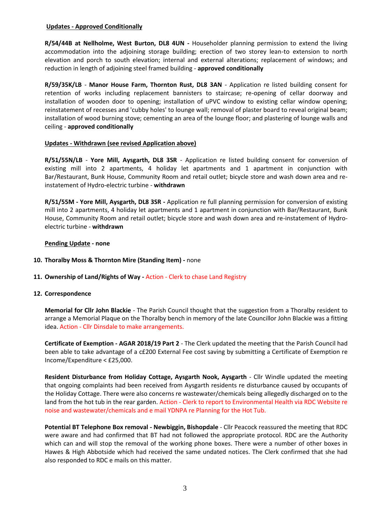## **Updates - Approved Conditionally**

**R/54/44B at Nellholme, West Burton, DL8 4UN -** Householder planning permission to extend the living accommodation into the adjoining storage building; erection of two storey lean-to extension to north elevation and porch to south elevation; internal and external alterations; replacement of windows; and reduction in length of adjoining steel framed building - **approved conditionally**

**R/59/35K/LB** - **Manor House Farm, Thornton Rust, DL8 3AN** - Application re listed building consent for retention of works including replacement bannisters to staircase; re-opening of cellar doorway and installation of wooden door to opening; installation of uPVC window to existing cellar window opening; reinstatement of recesses and 'cubby holes' to lounge wall; removal of plaster board to reveal original beam; installation of wood burning stove; cementing an area of the lounge floor; and plastering of lounge walls and ceiling - **approved conditionally**

## **Updates - Withdrawn (see revised Application above)**

**R/51/55N/LB** - **Yore Mill, Aysgarth, DL8 3SR** - Application re listed building consent for conversion of existing mill into 2 apartments, 4 holiday let apartments and 1 apartment in conjunction with Bar/Restaurant, Bunk House, Community Room and retail outlet; bicycle store and wash down area and reinstatement of Hydro-electric turbine - **withdrawn**

**R/51/55M - Yore Mill, Aysgarth, DL8 3SR -** Application re full planning permission for conversion of existing mill into 2 apartments, 4 holiday let apartments and 1 apartment in conjunction with Bar/Restaurant, Bunk House, Community Room and retail outlet; bicycle store and wash down area and re-instatement of Hydroelectric turbine - **withdrawn**

## **Pending Update - none**

- **10. Thoralby Moss & Thornton Mire (Standing Item) -** none
- **11. Ownership of Land/Rights of Way -** Action Clerk to chase Land Registry
- **12. Correspondence**

**Memorial for Cllr John Blackie** - The Parish Council thought that the suggestion from a Thoralby resident to arrange a Memorial Plaque on the Thoralby bench in memory of the late Councillor John Blackie was a fitting idea. Action - Cllr Dinsdale to make arrangements.

**Certificate of Exemption - AGAR 2018/19 Part 2** - The Clerk updated the meeting that the Parish Council had been able to take advantage of a c£200 External Fee cost saving by submitting a Certificate of Exemption re Income/Expenditure < £25,000.

**Resident Disturbance from Holiday Cottage, Aysgarth Nook, Aysgarth** - Cllr Windle updated the meeting that ongoing complaints had been received from Aysgarth residents re disturbance caused by occupants of the Holiday Cottage. There were also concerns re wastewater/chemicals being allegedly discharged on to the land from the hot tub in the rear garden. Action - Clerk to report to Environmental Health via RDC Website re noise and wastewater/chemicals and e mail YDNPA re Planning for the Hot Tub.

**Potential BT Telephone Box removal - Newbiggin, Bishopdale** - Cllr Peacock reassured the meeting that RDC were aware and had confirmed that BT had not followed the appropriate protocol. RDC are the Authority which can and will stop the removal of the working phone boxes. There were a number of other boxes in Hawes & High Abbotside which had received the same undated notices. The Clerk confirmed that she had also responded to RDC e mails on this matter.